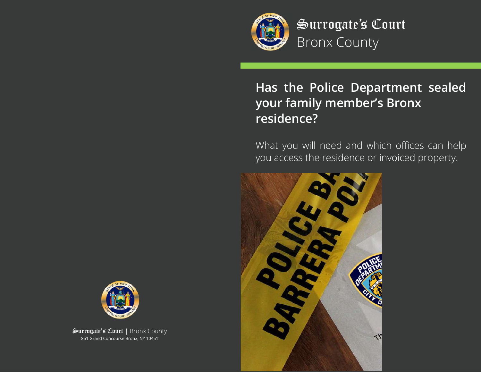

Surrogate's Court Bronx County

# **Has the Police Department sealed your family member's Bronx residence?**

What you will need and which offices can help you access the residence or invoiced property.





Surrogate's Court | Bronx County 851 Grand Concourse Bronx, NY 10451